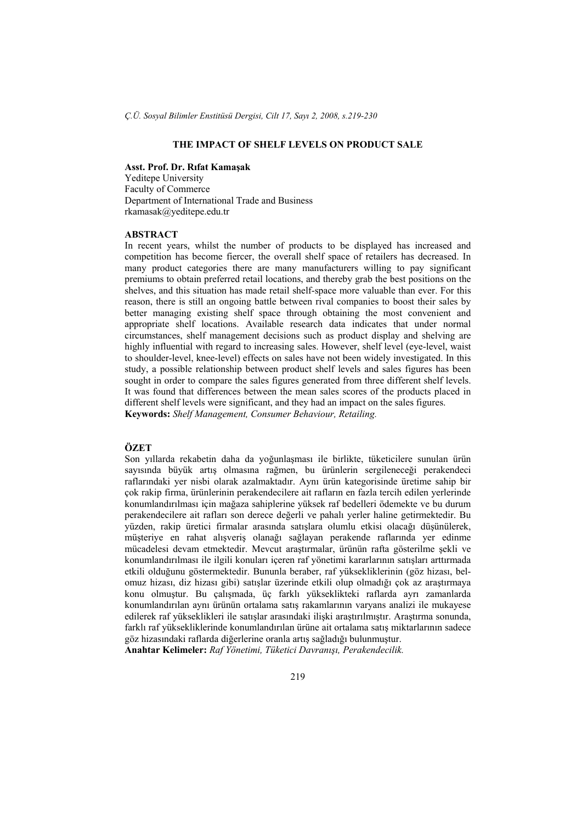# **THE IMPACT OF SHELF LEVELS ON PRODUCT SALE**

### **Asst. Prof. Dr. Rıfat Kamaşak**

Yeditepe University Faculty of Commerce Department of International Trade and Business rkamasak@yeditepe.edu.tr

# **ABSTRACT**

In recent years, whilst the number of products to be displayed has increased and competition has become fiercer, the overall shelf space of retailers has decreased. In many product categories there are many manufacturers willing to pay significant premiums to obtain preferred retail locations, and thereby grab the best positions on the shelves, and this situation has made retail shelf-space more valuable than ever. For this reason, there is still an ongoing battle between rival companies to boost their sales by better managing existing shelf space through obtaining the most convenient and appropriate shelf locations. Available research data indicates that under normal circumstances, shelf management decisions such as product display and shelving are highly influential with regard to increasing sales. However, shelf level (eye-level, waist to shoulder-level, knee-level) effects on sales have not been widely investigated. In this study, a possible relationship between product shelf levels and sales figures has been sought in order to compare the sales figures generated from three different shelf levels. It was found that differences between the mean sales scores of the products placed in different shelf levels were significant, and they had an impact on the sales figures. **Keywords:** *Shelf Management, Consumer Behaviour, Retailing.*

## **ÖZET**

Son yıllarda rekabetin daha da yoğunlaşması ile birlikte, tüketicilere sunulan ürün sayısında büyük artış olmasına rağmen, bu ürünlerin sergileneceği perakendeci raflarındaki yer nisbi olarak azalmaktadır. Aynı ürün kategorisinde üretime sahip bir çok rakip firma, ürünlerinin perakendecilere ait rafların en fazla tercih edilen yerlerinde konumlandırılması için mağaza sahiplerine yüksek raf bedelleri ödemekte ve bu durum perakendecilere ait rafları son derece değerli ve pahalı yerler haline getirmektedir. Bu yüzden, rakip üretici firmalar arasında satışlara olumlu etkisi olacağı düşünülerek, müşteriye en rahat alışveriş olanağı sağlayan perakende raflarında yer edinme mücadelesi devam etmektedir. Mevcut araştırmalar, ürünün rafta gösterilme şekli ve konumlandırılması ile ilgili konuları içeren raf yönetimi kararlarının satışları arttırmada etkili olduğunu göstermektedir. Bununla beraber, raf yüksekliklerinin (göz hizası, belomuz hizası, diz hizası gibi) satışlar üzerinde etkili olup olmadığı çok az araştırmaya konu olmuştur. Bu çalışmada, üç farklı yükseklikteki raflarda ayrı zamanlarda konumlandırılan aynı ürünün ortalama satış rakamlarının varyans analizi ile mukayese edilerek raf yükseklikleri ile satışlar arasındaki ilişki araştırılmıştır. Araştırma sonunda, farklı raf yüksekliklerinde konumlandırılan ürüne ait ortalama satış miktarlarının sadece göz hizasındaki raflarda diğerlerine oranla artış sağladığı bulunmuştur. **Anahtar Kelimeler:** *Raf Yönetimi, Tüketici Davranışı, Perakendecilik.* 

219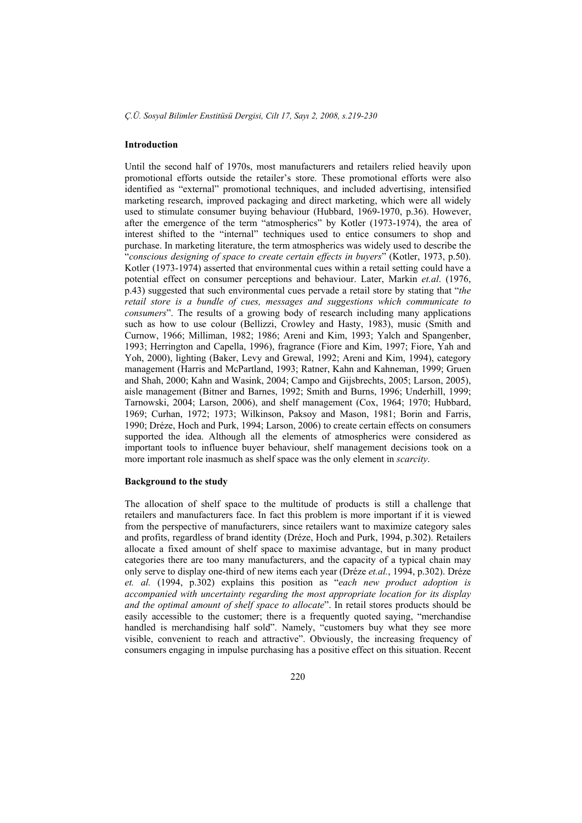### **Introduction**

Until the second half of 1970s, most manufacturers and retailers relied heavily upon promotional efforts outside the retailer's store. These promotional efforts were also identified as "external" promotional techniques, and included advertising, intensified marketing research, improved packaging and direct marketing, which were all widely used to stimulate consumer buying behaviour (Hubbard, 1969-1970, p.36). However, after the emergence of the term "atmospherics" by Kotler (1973-1974), the area of interest shifted to the "internal" techniques used to entice consumers to shop and purchase. In marketing literature, the term atmospherics was widely used to describe the "*conscious designing of space to create certain effects in buyers*" (Kotler, 1973, p.50). Kotler (1973-1974) asserted that environmental cues within a retail setting could have a potential effect on consumer perceptions and behaviour. Later, Markin *et.al*. (1976, p.43) suggested that such environmental cues pervade a retail store by stating that "*the retail store is a bundle of cues, messages and suggestions which communicate to consumers*". The results of a growing body of research including many applications such as how to use colour (Bellizzi, Crowley and Hasty, 1983), music (Smith and Curnow, 1966; Milliman, 1982; 1986; Areni and Kim, 1993; Yalch and Spangenber, 1993; Herrington and Capella, 1996), fragrance (Fiore and Kim, 1997; Fiore, Yah and Yoh, 2000), lighting (Baker, Levy and Grewal, 1992; Areni and Kim, 1994), category management (Harris and McPartland, 1993; Ratner, Kahn and Kahneman, 1999; Gruen and Shah, 2000; Kahn and Wasink, 2004; Campo and Gijsbrechts, 2005; Larson, 2005), aisle management (Bitner and Barnes, 1992; Smith and Burns, 1996; Underhill, 1999; Tarnowski, 2004; Larson, 2006), and shelf management (Cox, 1964; 1970; Hubbard, 1969; Curhan, 1972; 1973; Wilkinson, Paksoy and Mason, 1981; Borin and Farris, 1990; Dréze, Hoch and Purk, 1994; Larson, 2006) to create certain effects on consumers supported the idea. Although all the elements of atmospherics were considered as important tools to influence buyer behaviour, shelf management decisions took on a more important role inasmuch as shelf space was the only element in *scarcity*.

#### **Background to the study**

The allocation of shelf space to the multitude of products is still a challenge that retailers and manufacturers face. In fact this problem is more important if it is viewed from the perspective of manufacturers, since retailers want to maximize category sales and profits, regardless of brand identity (Dréze, Hoch and Purk, 1994, p.302). Retailers allocate a fixed amount of shelf space to maximise advantage, but in many product categories there are too many manufacturers, and the capacity of a typical chain may only serve to display one-third of new items each year (Dréze *et.al.*, 1994, p.302). Dréze *et. al.* (1994, p.302) explains this position as "*each new product adoption is accompanied with uncertainty regarding the most appropriate location for its display and the optimal amount of shelf space to allocate*". In retail stores products should be easily accessible to the customer; there is a frequently quoted saying, "merchandise handled is merchandising half sold". Namely, "customers buy what they see more visible, convenient to reach and attractive". Obviously, the increasing frequency of consumers engaging in impulse purchasing has a positive effect on this situation. Recent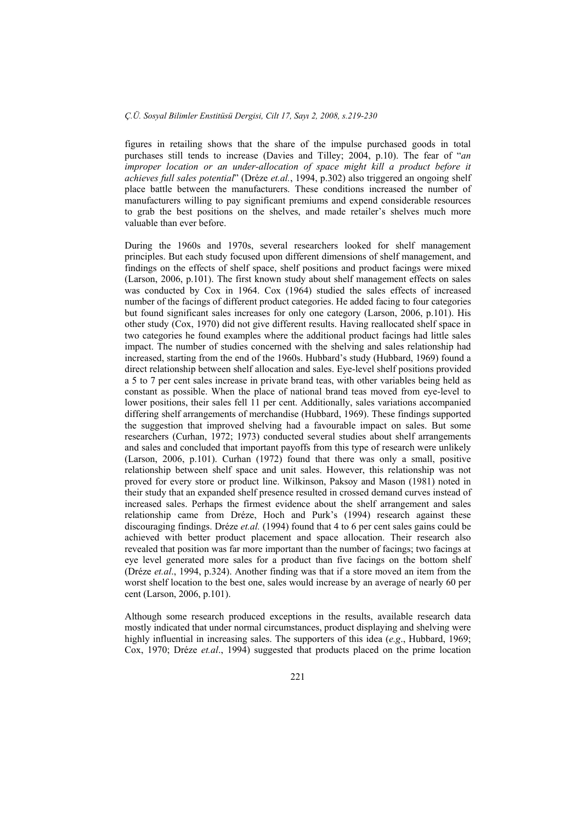figures in retailing shows that the share of the impulse purchased goods in total purchases still tends to increase (Davies and Tilley; 2004, p.10). The fear of "*an improper location or an under-allocation of space might kill a product before it achieves full sales potential*" (Dréze *et.al.*, 1994, p.302) also triggered an ongoing shelf place battle between the manufacturers. These conditions increased the number of manufacturers willing to pay significant premiums and expend considerable resources to grab the best positions on the shelves, and made retailer's shelves much more valuable than ever before.

During the 1960s and 1970s, several researchers looked for shelf management principles. But each study focused upon different dimensions of shelf management, and findings on the effects of shelf space, shelf positions and product facings were mixed (Larson, 2006, p.101). The first known study about shelf management effects on sales was conducted by Cox in 1964. Cox (1964) studied the sales effects of increased number of the facings of different product categories. He added facing to four categories but found significant sales increases for only one category (Larson, 2006, p.101). His other study (Cox, 1970) did not give different results. Having reallocated shelf space in two categories he found examples where the additional product facings had little sales impact. The number of studies concerned with the shelving and sales relationship had increased, starting from the end of the 1960s. Hubbard's study (Hubbard, 1969) found a direct relationship between shelf allocation and sales. Eye-level shelf positions provided a 5 to 7 per cent sales increase in private brand teas, with other variables being held as constant as possible. When the place of national brand teas moved from eye-level to lower positions, their sales fell 11 per cent. Additionally, sales variations accompanied differing shelf arrangements of merchandise (Hubbard, 1969). These findings supported the suggestion that improved shelving had a favourable impact on sales. But some researchers (Curhan, 1972; 1973) conducted several studies about shelf arrangements and sales and concluded that important payoffs from this type of research were unlikely (Larson, 2006, p.101). Curhan (1972) found that there was only a small, positive relationship between shelf space and unit sales. However, this relationship was not proved for every store or product line. Wilkinson, Paksoy and Mason (1981) noted in their study that an expanded shelf presence resulted in crossed demand curves instead of increased sales. Perhaps the firmest evidence about the shelf arrangement and sales relationship came from Dréze, Hoch and Purk's (1994) research against these discouraging findings. Dréze *et.al.* (1994) found that 4 to 6 per cent sales gains could be achieved with better product placement and space allocation. Their research also revealed that position was far more important than the number of facings; two facings at eye level generated more sales for a product than five facings on the bottom shelf (Dréze *et.al*., 1994, p.324). Another finding was that if a store moved an item from the worst shelf location to the best one, sales would increase by an average of nearly 60 per cent (Larson, 2006, p.101).

Although some research produced exceptions in the results, available research data mostly indicated that under normal circumstances, product displaying and shelving were highly influential in increasing sales. The supporters of this idea (*e.g*., Hubbard, 1969; Cox, 1970; Dréze *et.al*., 1994) suggested that products placed on the prime location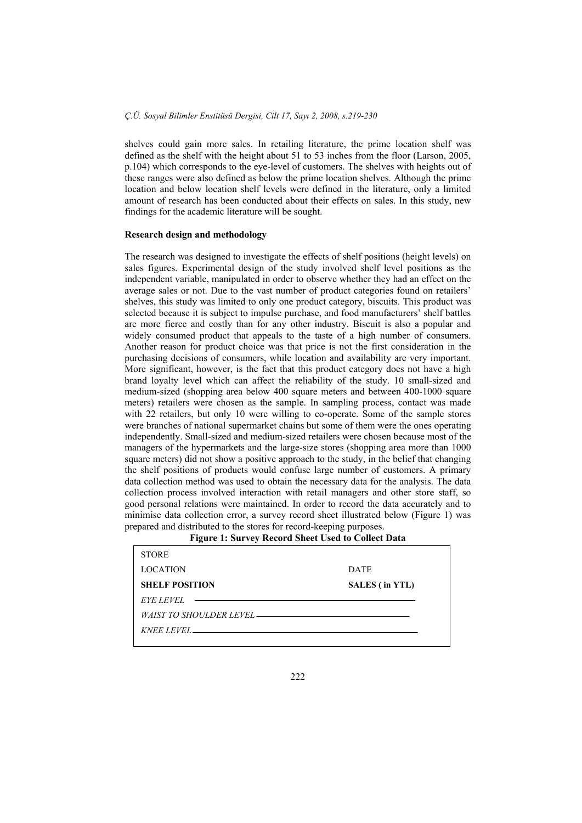shelves could gain more sales. In retailing literature, the prime location shelf was defined as the shelf with the height about 51 to 53 inches from the floor (Larson, 2005, p.104) which corresponds to the eye-level of customers. The shelves with heights out of these ranges were also defined as below the prime location shelves. Although the prime location and below location shelf levels were defined in the literature, only a limited amount of research has been conducted about their effects on sales. In this study, new findings for the academic literature will be sought.

### **Research design and methodology**

The research was designed to investigate the effects of shelf positions (height levels) on sales figures. Experimental design of the study involved shelf level positions as the independent variable, manipulated in order to observe whether they had an effect on the average sales or not. Due to the vast number of product categories found on retailers' shelves, this study was limited to only one product category, biscuits. This product was selected because it is subject to impulse purchase, and food manufacturers' shelf battles are more fierce and costly than for any other industry. Biscuit is also a popular and widely consumed product that appeals to the taste of a high number of consumers. Another reason for product choice was that price is not the first consideration in the purchasing decisions of consumers, while location and availability are very important. More significant, however, is the fact that this product category does not have a high brand loyalty level which can affect the reliability of the study. 10 small-sized and medium-sized (shopping area below 400 square meters and between 400-1000 square meters) retailers were chosen as the sample. In sampling process, contact was made with 22 retailers, but only 10 were willing to co-operate. Some of the sample stores were branches of national supermarket chains but some of them were the ones operating independently. Small-sized and medium-sized retailers were chosen because most of the managers of the hypermarkets and the large-size stores (shopping area more than 1000 square meters) did not show a positive approach to the study, in the belief that changing the shelf positions of products would confuse large number of customers. A primary data collection method was used to obtain the necessary data for the analysis. The data collection process involved interaction with retail managers and other store staff, so good personal relations were maintained. In order to record the data accurately and to minimise data collection error, a survey record sheet illustrated below (Figure 1) was prepared and distributed to the stores for record-keeping purposes.

**Figure 1: Survey Record Sheet Used to Collect Data**

| <b>DATE</b>                   |
|-------------------------------|
| SALES (in YTL)                |
| $EYE$ LEVEL $\longrightarrow$ |
|                               |
|                               |
|                               |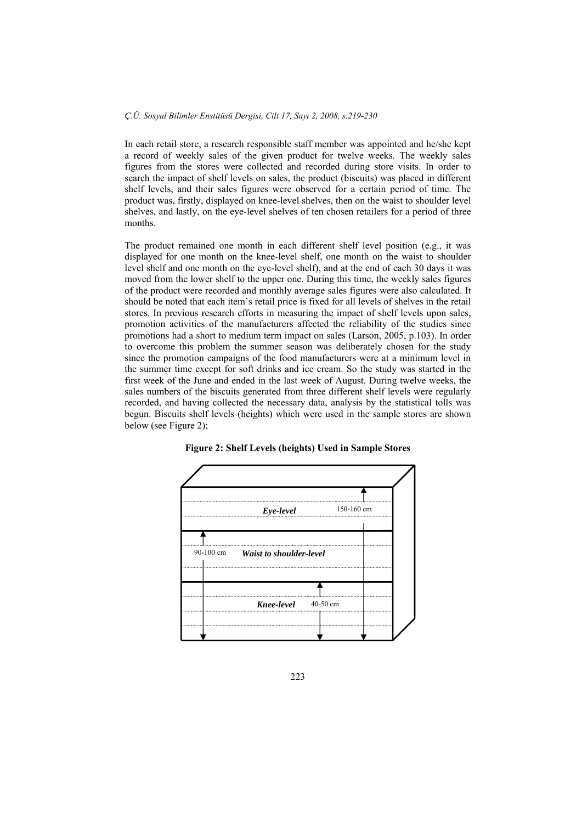In each retail store, a research responsible staff member was appointed and he/she kept a record of weekly sales of the given product for twelve weeks. The weekly sales figures from the stores were collected and recorded during store visits. In order to search the impact of shelf levels on sales, the product (biscuits) was placed in different shelf levels, and their sales figures were observed for a certain period of time. The product was, firstly, displayed on knee-level shelves, then on the waist to shoulder level shelves, and lastly, on the eye-level shelves of ten chosen retailers for a period of three months.

The product remained one month in each different shelf level position (e.g., it was displayed for one month on the knee-level shelf, one month on the waist to shoulder level shelf and one month on the eye-level shelf), and at the end of each 30 days it was moved from the lower shelf to the upper one. During this time, the weekly sales figures of the product were recorded and monthly average sales figures were also calculated. It should be noted that each item's retail price is fixed for all levels of shelves in the retail stores. In previous research efforts in measuring the impact of shelf levels upon sales, promotion activities of the manufacturers affected the reliability of the studies since promotions had a short to medium term impact on sales (Larson, 2005, p.103). In order to overcome this problem the summer season was deliberately chosen for the study since the promotion campaigns of the food manufacturers were at a minimum level in the summer time except for soft drinks and ice cream. So the study was started in the first week of the June and ended in the last week of August. During twelve weeks, the sales numbers of the biscuits generated from three different shelf levels were regularly recorded, and having collected the necessary data, analysis by the statistical tolls was begun. Biscuits shelf levels (heights) which were used in the sample stores are shown below (see Figure 2);



**Figure 2: Shelf Levels (heights) Used in Sample Stores**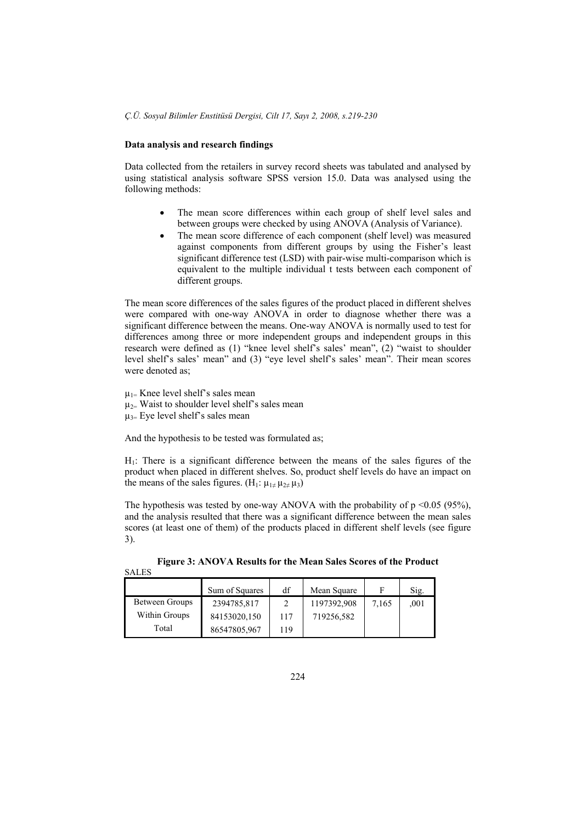## **Data analysis and research findings**

Data collected from the retailers in survey record sheets was tabulated and analysed by using statistical analysis software SPSS version 15.0. Data was analysed using the following methods:

- The mean score differences within each group of shelf level sales and between groups were checked by using ANOVA (Analysis of Variance).
- The mean score difference of each component (shelf level) was measured against components from different groups by using the Fisher's least significant difference test (LSD) with pair-wise multi-comparison which is equivalent to the multiple individual t tests between each component of different groups.

The mean score differences of the sales figures of the product placed in different shelves were compared with one-way ANOVA in order to diagnose whether there was a significant difference between the means. One-way ANOVA is normally used to test for differences among three or more independent groups and independent groups in this research were defined as (1) "knee level shelf's sales' mean", (2) "waist to shoulder level shelf's sales' mean" and (3) "eye level shelf's sales' mean". Their mean scores were denoted as:

 $\mu_{1}$ = Knee level shelf's sales mean  $\mu_{2}$ = Waist to shoulder level shelf's sales mean  $\mu_{3}$  Eye level shelf's sales mean

SALES

And the hypothesis to be tested was formulated as;

 $H<sub>1</sub>$ : There is a significant difference between the means of the sales figures of the product when placed in different shelves. So, product shelf levels do have an impact on the means of the sales figures. (H<sub>1</sub>:  $\mu_{1\neq}\mu_{2\neq}\mu_3$ )

The hypothesis was tested by one-way ANOVA with the probability of  $p \le 0.05$  (95%), and the analysis resulted that there was a significant difference between the mean sales scores (at least one of them) of the products placed in different shelf levels (see figure 3).

|                | Sum of Squares | df  | Mean Square |       | Sig. |
|----------------|----------------|-----|-------------|-------|------|
| Between Groups | 2394785,817    |     | 1197392,908 | 7,165 | .001 |
| Within Groups  | 84153020,150   | 117 | 719256,582  |       |      |
| Total          | 86547805,967   | 119 |             |       |      |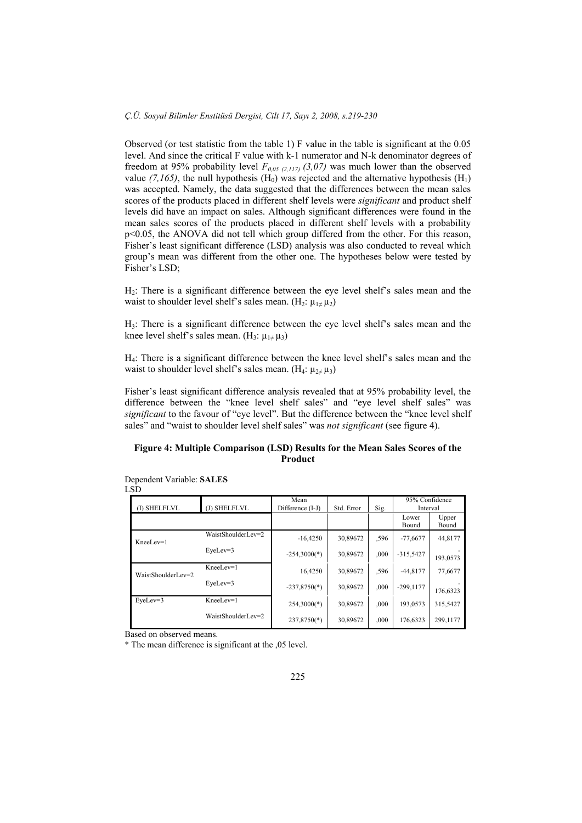Observed (or test statistic from the table 1) F value in the table is significant at the 0.05 level. And since the critical F value with k-1 numerator and N-k denominator degrees of freedom at 95% probability level  $F_{0.05 \text{ (2,1/7)}}$  (3,07) was much lower than the observed value  $(7,165)$ , the null hypothesis  $(H_0)$  was rejected and the alternative hypothesis  $(H_1)$ was accepted. Namely, the data suggested that the differences between the mean sales scores of the products placed in different shelf levels were *significant* and product shelf levels did have an impact on sales. Although significant differences were found in the mean sales scores of the products placed in different shelf levels with a probability p<0.05, the ANOVA did not tell which group differed from the other. For this reason, Fisher's least significant difference (LSD) analysis was also conducted to reveal which group's mean was different from the other one. The hypotheses below were tested by Fisher's LSD;

H2: There is a significant difference between the eye level shelf's sales mean and the waist to shoulder level shelf's sales mean. (H<sub>2</sub>:  $\mu_1 \neq \mu_2$ )

H3: There is a significant difference between the eye level shelf's sales mean and the knee level shelf's sales mean.  $(H_3: \mu_{1 \neq} \mu_3)$ 

H4: There is a significant difference between the knee level shelf's sales mean and the waist to shoulder level shelf's sales mean. (H<sub>4</sub>:  $\mu_{2\neq}\mu_3$ )

Fisher's least significant difference analysis revealed that at 95% probability level, the difference between the "knee level shelf sales" and "eye level shelf sales" was *significant* to the favour of "eye level". But the difference between the "knee level shelf sales" and "waist to shoulder level shelf sales" was *not significant* (see figure 4).

# **Figure 4: Multiple Comparison (LSD) Results for the Mean Sales Scores of the Product**

| .SD                |                    |                          |            |      |                            |                |
|--------------------|--------------------|--------------------------|------------|------|----------------------------|----------------|
| (I) SHELFLVL       | (J) SHELFLVL       | Mean<br>Difference (I-J) | Std. Error | Sig. | 95% Confidence<br>Interval |                |
|                    |                    |                          |            |      | Lower<br>Bound             | Upper<br>Bound |
| KneeLev=1          | WaistShoulderLev=2 | $-16,4250$               | 30,89672   | .596 | $-77,6677$                 | 44,8177        |
|                    | EyeLev=3           | $-254,3000(*)$           | 30,89672   | ,000 | $-315,5427$                | 193,0573       |
| WaistShoulderLev=2 | KneeLev=1          | 16,4250                  | 30.89672   | .596 | $-44,8177$                 | 77,6677        |
|                    | $EveLev=3$         | $-237,8750(*)$           | 30.89672   | ,000 | $-299.1177$                | 176.6323       |
| EyeLev=3           | KneeLev=1          | $254,3000(*)$            | 30,89672   | ,000 | 193,0573                   | 315,5427       |
|                    | WaistShoulderLev=2 | $237,8750(*)$            | 30.89672   | ,000 | 176,6323                   | 299,1177       |

Dependent Variable: **SALES**   $\mathbf I$ 

Based on observed means.

\* The mean difference is significant at the ,05 level.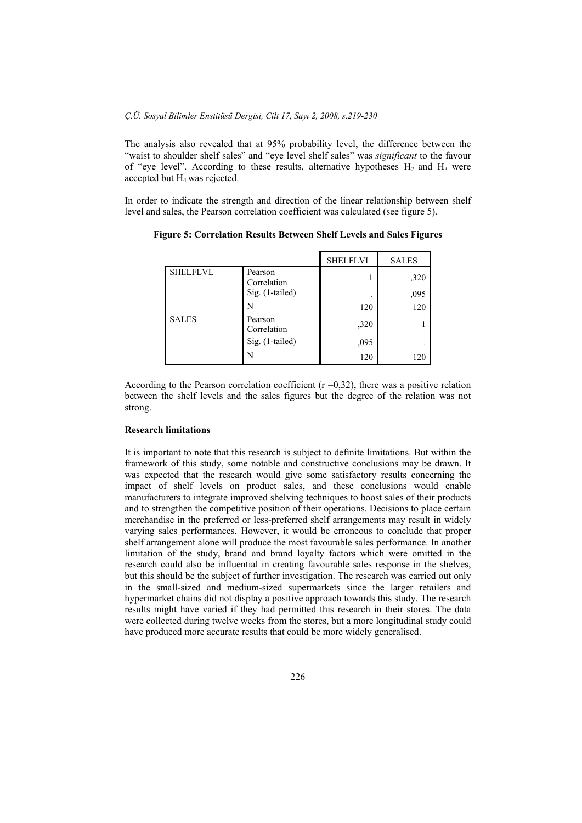The analysis also revealed that at 95% probability level, the difference between the "waist to shoulder shelf sales" and "eye level shelf sales" was *significant* to the favour of "eye level". According to these results, alternative hypotheses  $H_2$  and  $H_3$  were accepted but  $H_4$  was rejected.

In order to indicate the strength and direction of the linear relationship between shelf level and sales, the Pearson correlation coefficient was calculated (see figure 5).

|                 |                        | <b>SHELFLVL</b> | <b>SALES</b> |
|-----------------|------------------------|-----------------|--------------|
| <b>SHELFLVL</b> | Pearson<br>Correlation |                 | ,320         |
|                 | Sig. (1-tailed)        | ٠               | ,095         |
|                 | N                      | 120             | 120          |
| <b>SALES</b>    | Pearson<br>Correlation | ,320            |              |
|                 | Sig. (1-tailed)        | ,095            |              |
|                 | N                      | 120             | 120          |

**Figure 5: Correlation Results Between Shelf Levels and Sales Figures** 

According to the Pearson correlation coefficient  $(r=0,32)$ , there was a positive relation between the shelf levels and the sales figures but the degree of the relation was not strong.

#### **Research limitations**

It is important to note that this research is subject to definite limitations. But within the framework of this study, some notable and constructive conclusions may be drawn. It was expected that the research would give some satisfactory results concerning the impact of shelf levels on product sales, and these conclusions would enable manufacturers to integrate improved shelving techniques to boost sales of their products and to strengthen the competitive position of their operations. Decisions to place certain merchandise in the preferred or less-preferred shelf arrangements may result in widely varying sales performances. However, it would be erroneous to conclude that proper shelf arrangement alone will produce the most favourable sales performance. In another limitation of the study, brand and brand loyalty factors which were omitted in the research could also be influential in creating favourable sales response in the shelves, but this should be the subject of further investigation. The research was carried out only in the small-sized and medium-sized supermarkets since the larger retailers and hypermarket chains did not display a positive approach towards this study. The research results might have varied if they had permitted this research in their stores. The data were collected during twelve weeks from the stores, but a more longitudinal study could have produced more accurate results that could be more widely generalised.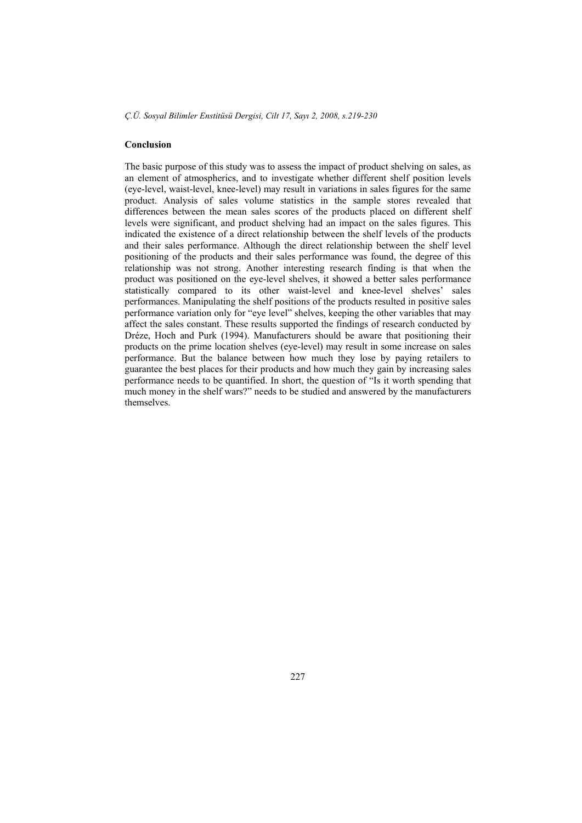# **Conclusion**

The basic purpose of this study was to assess the impact of product shelving on sales, as an element of atmospherics, and to investigate whether different shelf position levels (eye-level, waist-level, knee-level) may result in variations in sales figures for the same product. Analysis of sales volume statistics in the sample stores revealed that differences between the mean sales scores of the products placed on different shelf levels were significant, and product shelving had an impact on the sales figures. This indicated the existence of a direct relationship between the shelf levels of the products and their sales performance. Although the direct relationship between the shelf level positioning of the products and their sales performance was found, the degree of this relationship was not strong. Another interesting research finding is that when the product was positioned on the eye-level shelves, it showed a better sales performance statistically compared to its other waist-level and knee-level shelves' sales performances. Manipulating the shelf positions of the products resulted in positive sales performance variation only for "eye level" shelves, keeping the other variables that may affect the sales constant. These results supported the findings of research conducted by Dréze, Hoch and Purk (1994). Manufacturers should be aware that positioning their products on the prime location shelves (eye-level) may result in some increase on sales performance. But the balance between how much they lose by paying retailers to guarantee the best places for their products and how much they gain by increasing sales performance needs to be quantified. In short, the question of "Is it worth spending that much money in the shelf wars?" needs to be studied and answered by the manufacturers themselves.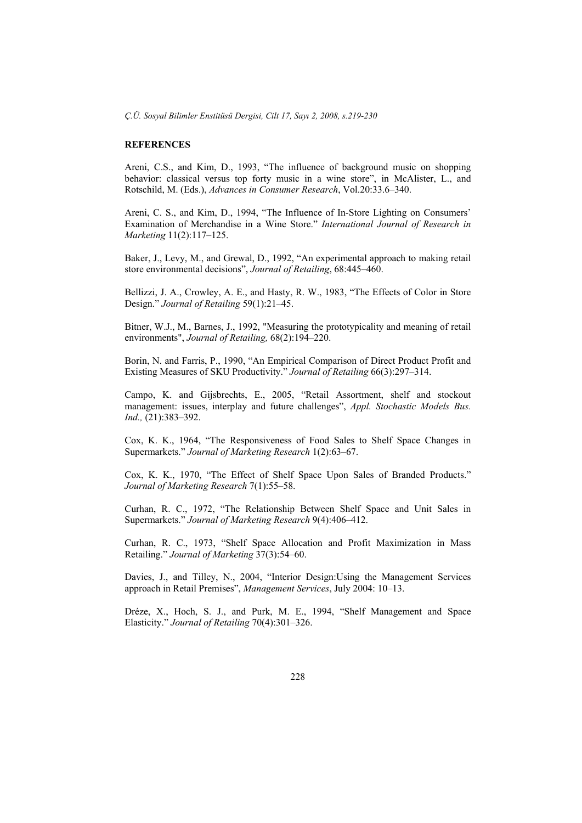# **REFERENCES**

Areni, C.S., and Kim, D., 1993, "The influence of background music on shopping behavior: classical versus top forty music in a wine store", in McAlister, L., and Rotschild, M. (Eds.), *Advances in Consumer Research*, Vol.20:33.6–340.

Areni, C. S., and Kim, D., 1994, "The Influence of In-Store Lighting on Consumers' Examination of Merchandise in a Wine Store." *International Journal of Research in Marketing* 11(2):117–125.

Baker, J., Levy, M., and Grewal, D., 1992, "An experimental approach to making retail store environmental decisions", *Journal of Retailing*, 68:445–460.

Bellizzi, J. A., Crowley, A. E., and Hasty, R. W., 1983, "The Effects of Color in Store Design." *Journal of Retailing* 59(1):21–45.

Bitner, W.J., M., Barnes, J., 1992, "Measuring the prototypicality and meaning of retail environments", *Journal of Retailing,* 68(2):194–220.

Borin, N. and Farris, P., 1990, "An Empirical Comparison of Direct Product Profit and Existing Measures of SKU Productivity." *Journal of Retailing* 66(3):297–314.

Campo, K. and Gijsbrechts, E., 2005, "Retail Assortment, shelf and stockout management: issues, interplay and future challenges", *Appl. Stochastic Models Bus. Ind.,* (21):383–392.

Cox, K. K., 1964, "The Responsiveness of Food Sales to Shelf Space Changes in Supermarkets." *Journal of Marketing Research* 1(2):63–67.

Cox, K. K., 1970, "The Effect of Shelf Space Upon Sales of Branded Products." *Journal of Marketing Research* 7(1):55–58.

Curhan, R. C., 1972, "The Relationship Between Shelf Space and Unit Sales in Supermarkets." *Journal of Marketing Research* 9(4):406–412.

Curhan, R. C., 1973, "Shelf Space Allocation and Profit Maximization in Mass Retailing." *Journal of Marketing* 37(3):54–60.

Davies, J., and Tilley, N., 2004, "Interior Design:Using the Management Services approach in Retail Premises", *Management Services*, July 2004: 10–13.

Dréze, X., Hoch, S. J., and Purk, M. E., 1994, "Shelf Management and Space Elasticity." *Journal of Retailing* 70(4):301–326.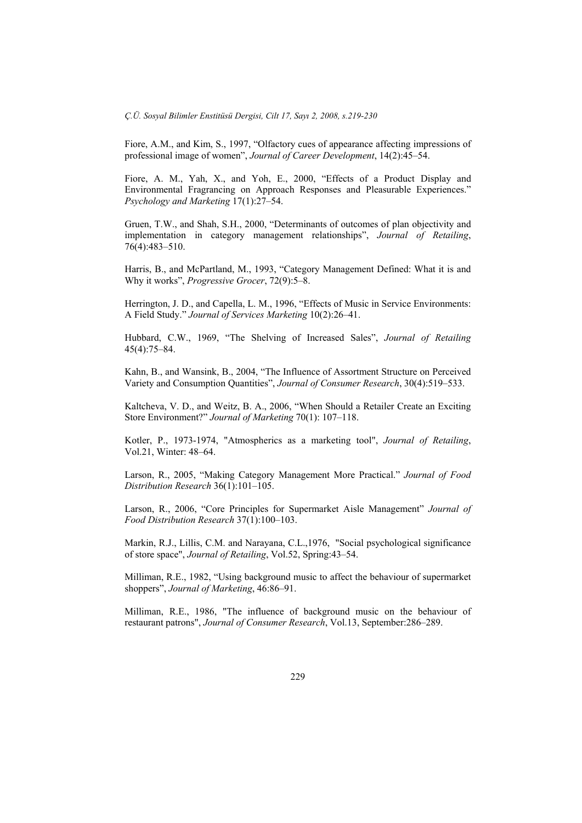Fiore, A.M., and Kim, S., 1997, "Olfactory cues of appearance affecting impressions of professional image of women", *Journal of Career Development*, 14(2):45–54.

Fiore, A. M., Yah, X., and Yoh, E., 2000, "Effects of a Product Display and Environmental Fragrancing on Approach Responses and Pleasurable Experiences." *Psychology and Marketing* 17(1):27–54.

Gruen, T.W., and Shah, S.H., 2000, "Determinants of outcomes of plan objectivity and implementation in category management relationships", *Journal of Retailing*, 76(4):483–510.

Harris, B., and McPartland, M., 1993, "Category Management Defined: What it is and Why it works", *Progressive Grocer*, 72(9):5–8.

Herrington, J. D., and Capella, L. M., 1996, "Effects of Music in Service Environments: A Field Study." *Journal of Services Marketing* 10(2):26–41.

Hubbard, C.W., 1969, "The Shelving of Increased Sales", *Journal of Retailing*  45(4):75–84.

Kahn, B., and Wansink, B., 2004, "The Influence of Assortment Structure on Perceived Variety and Consumption Quantities", *Journal of Consumer Research*, 30(4):519–533.

Kaltcheva, V. D., and Weitz, B. A., 2006, "When Should a Retailer Create an Exciting Store Environment?" *Journal of Marketing* 70(1): 107–118.

Kotler, P., 1973-1974, "Atmospherics as a marketing tool", *Journal of Retailing*, Vol.21, Winter: 48–64.

Larson, R., 2005, "Making Category Management More Practical." *Journal of Food Distribution Research* 36(1):101–105.

Larson, R., 2006, "Core Principles for Supermarket Aisle Management" *Journal of Food Distribution Research* 37(1):100–103.

Markin, R.J., Lillis, C.M. and Narayana, C.L.,1976, "Social psychological significance of store space", *Journal of Retailing*, Vol.52, Spring:43–54.

Milliman, R.E., 1982, "Using background music to affect the behaviour of supermarket shoppers", *Journal of Marketing*, 46:86–91.

Milliman, R.E., 1986, "The influence of background music on the behaviour of restaurant patrons", *Journal of Consumer Research*, Vol.13, September:286–289.